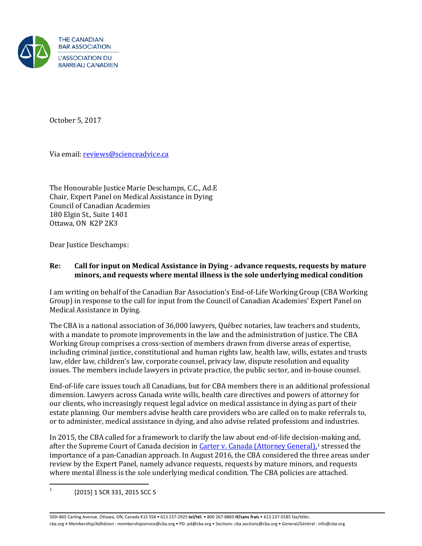

October 5, 2017

Via email: [reviews@scienceadvice.ca](mailto:reviews@scienceadvice.ca) 

The Honourable Justice Marie Deschamps, C.C., Ad.E Chair, Expert Panel on Medical Assistance in Dying Council of Canadian Academies 180 Elgin St., Suite 1401 Ottawa, ON K2P 2K3

Dear Justice Deschamps:

#### **Re: Call for input on Medical Assistance in Dying - advance requests, requests by mature minors, and requests where mental illness is the sole underlying medical condition**

I am writing on behalf of the Canadian Bar Association's End-of-Life Working Group (CBA Working Group) in response to the call for input from the Council of Canadian Academies' Expert Panel on Medical Assistance in Dying.

The CBA is a national association of 36,000 lawyers, Québec notaries, law teachers and students, with a mandate to promote improvements in the law and the administration of justice. The CBA Working Group comprises a cross-section of members drawn from diverse areas of expertise, including criminal justice, constitutional and human rights law, health law, wills, estates and trusts law, elder law, children's law, corporate counsel, privacy law, dispute resolution and equality issues. The members include lawyers in private practice, the public sector, and in-house counsel.

End-of-life care issues touch all Canadians, but for CBA members there is an additional professional dimension. Lawyers across Canada write wills, health care directives and powers of attorney for our clients, who increasingly request legal advice on medical assistance in dying as part of their estate planning. Our members advise health care providers who are called on to make referrals to, or to administer, medical assistance in dying, and also advise related professions and industries.

In 2015, the CBA called for a framework to clarify the law about end-of-life decision-making and, after the Supreme Court of Canada decision i[n Carter v. Canada \(Attorney General\),](https://www.canlii.org/en/ca/scc/doc/2015/2015scc5/2015scc5.html?autocompleteStr=carter&autocompletePos=2)<sup>[1](#page-0-0)</sup> stressed the importance of a pan-Canadian approach. In August 2016, the CBA considered the three areas under review by the Expert Panel, namely advance requests, requests by mature minors, and requests where mental illness is the sole underlying medical condition. The CBA policies are attached.

<span id="page-0-0"></span> $\frac{1}{1}$ [2015] 1 SCR 331, 2015 SCC 5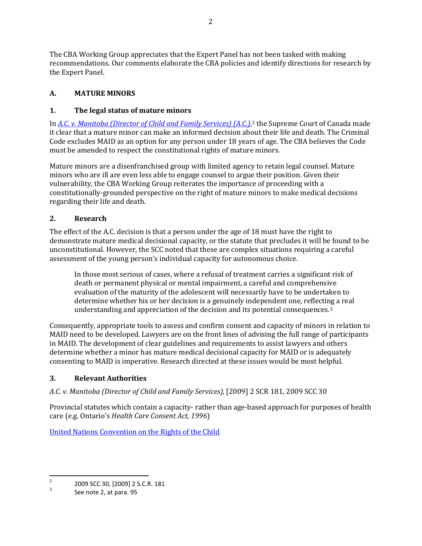The CBA Working Group appreciates that the Expert Panel has not been tasked with making recommendations. Our comments elaborate the CBA policies and identify directions for research by the Expert Panel.

# **A. MATURE MINORS**

### **1. The legal status of mature minors**

In *[A.C. v. Manitoba \(Director of Child and Family Services\)](https://www.canlii.org/en/ca/scc/doc/2009/2009scc30/2009scc30.html?autocompleteStr=a.c.%20manitoba&autocompletePos=1) (A.C.)*,[2](#page-1-0) the Supreme Court of Canada made it clear that a mature minor can make an informed decision about their life and death. The Criminal Code excludes MAID as an option for any person under 18 years of age. The CBA believes the Code must be amended to respect the constitutional rights of mature minors.

Mature minors are a disenfranchised group with limited agency to retain legal counsel. Mature minors who are ill are even less able to engage counsel to argue their position. Given their vulnerability, the CBA Working Group reiterates the importance of proceeding with a constitutionally-grounded perspective on the right of mature minors to make medical decisions regarding their life and death.

### **2. Research**

The effect of the A.C. decision is that a person under the age of 18 must have the right to demonstrate mature medical decisional capacity, or the statute that precludes it will be found to be unconstitutional. However, the SCC noted that these are complex situations requiring a careful assessment of the young person's individual capacity for autonomous choice.

In those most serious of cases, where a refusal of treatment carries a significant risk of death or permanent physical or mental impairment, a careful and comprehensive evaluation of the maturity of the adolescent will necessarily have to be undertaken to determine whether his or her decision is a genuinely independent one, reflecting a real understanding and appreciation of the decision and its potential consequences.[3](#page-1-1) 

Consequently, appropriate tools to assess and confirm consent and capacity of minors in relation to MAID need to be developed. Lawyers are on the front lines of advising the full range of participants in MAID. The development of clear guidelines and requirements to assist lawyers and others determine whether a minor has mature medical decisional capacity for MAID or is adequately consenting to MAID is imperative. Research directed at these issues would be most helpful.

## **3. Relevant Authorities**

*A.C. v. Manitoba (Director of Child and Family Services),* [2009] 2 SCR 181, 2009 SCC 30

Provincial statutes which contain a capacity- rather than age-based approach for purposes of health care (e.g. Ontario's *Health Care Consent Act, 1996*)

[United Nations Convention on the Rights of the Child](http://www.ohchr.org/EN/ProfessionalInterest/Pages/CRC.aspx)

<span id="page-1-0"></span> $\overline{2}$  $\frac{2}{3}$  2009 SCC 30, [2009] 2 S.C.R. 181

<span id="page-1-1"></span>See note 2, at para. 95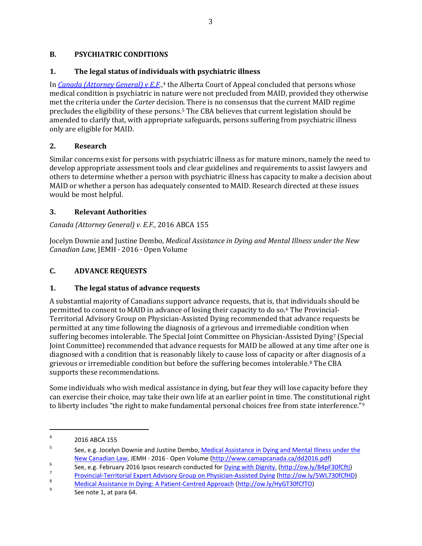### **B. PSYCHIATRIC CONDITIONS**

### **1. The legal status of individuals with psychiatric illness**

In *[Canada \(Attorney General\) v E.F](https://www.canlii.org/en/ab/abca/doc/2016/2016abca155/2016abca155.html?resultIndex=4).*,<sup>[4](#page-2-0)</sup> the Alberta Court of Appeal concluded that persons whose medical condition is psychiatric in nature were not precluded from MAID, provided they otherwise met the criteria under the *Carter* decision. There is no consensus that the current MAID regime precludes the eligibility of these persons.[5](#page-2-1) The CBA believes that current legislation should be amended to clarify that, with appropriate safeguards, persons suffering from psychiatric illness only are eligible for MAID.

### **2. Research**

Similar concerns exist for persons with psychiatric illness as for mature minors, namely the need to develop appropriate assessment tools and clear guidelines and requirements to assist lawyers and others to determine whether a person with psychiatric illness has capacity to make a decision about MAID or whether a person has adequately consented to MAID. Research directed at these issues would be most helpful.

### **3. Relevant Authorities**

### *Canada (Attorney General) v. E.F.*, 2016 ABCA 155

Jocelyn Downie and Justine Dembo, *Medical Assistance in Dying and Mental Illness under the New Canadian Law*, JEMH · 2016 · Open Volume

### **C. ADVANCE REQUESTS**

## **1. The legal status of advance requests**

A substantial majority of Canadians support advance requests, that is, th[at](#page-2-2) individuals should be permitted to consent to MAID in advance of losing their capacity to do so.6 The Provincial-Territorial Advisory Group on Physician-Assisted Dying recommended that advance requests be permitted at any time following the diagnosis of a grievous and irremediable condition [w](#page-2-3)hen suffering becomes intolerable. The Special Joint Committee on Physician-Assisted Dying7 (Special Joint Committee) recommended that advance requests for MAID be allowed at any time after one is diagnosed with a condition that is reasonably likely to cause loss of capacity or a[ft](#page-2-4)er diagnosis of a grievous or irremediable condition but before the suffering becomes intolerable.8 The CBA supports these recommendations.

Some individuals who wish medical assistance in dying, but fear they will lose capacity before they can exercise their choice, may take their own life at an earlier point in time. The constitutional ri[gh](#page-2-5)t to liberty includes "the right to make fundamental personal choices free from state interference."9

 $\overline{\phantom{a}}$ 

<span id="page-2-0"></span><sup>4</sup> 2016 ABCA 155

<span id="page-2-1"></span><sup>5</sup> See, e.g. Jocelyn Downie and Justine Dembo, Medical Assistance in Dying and Mental Illness under the [New Canadian Law,](http://www.camapcanada.ca/dd2016.pdf) JEMH · 2016 · Open Volume [\(http://www.camapcanada.ca/dd2016.pdf](http://www.camapcanada.ca/dd2016.pdf))

<span id="page-2-2"></span>See, e.g. February 2016 Ipsos research conducted for  $\frac{Dying\ with\ Dignity. (http://ow.ly/B4pF30fCftj)}{7}$  $\frac{Dying\ with\ Dignity. (http://ow.ly/B4pF30fCftj)}{7}$  $\frac{Dying\ with\ Dignity. (http://ow.ly/B4pF30fCftj)}{7}$ 

<span id="page-2-3"></span>Provincial-Territorial Expert Advisory Group on Physician-Assisted Dying (http://ow.ly/5WL730fCfHD[\)](http://ow.ly/5WL730fCfHD)

<span id="page-2-4"></span>[Medical Assistance In Dying: A Patient](http://ow.ly/HyGT30fCfTO)-Centred Approach [\(http://ow.ly/HyGT30fCfTO](http://ow.ly/HyGT30fCfTO))

<span id="page-2-5"></span>See note 1, at para 64.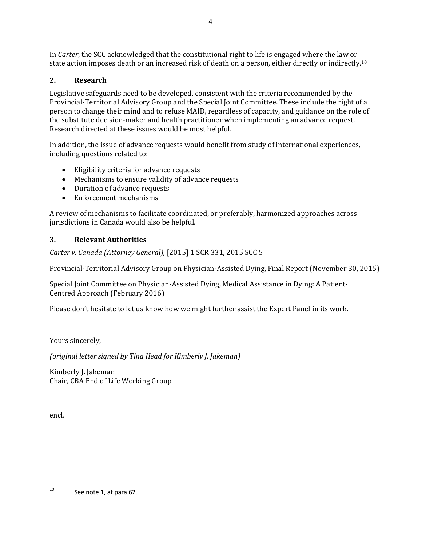In *Carter*, the SCC acknowledged that the constitutional right to life is engaged where the law or state action imposes death or an increased risk of death on a person, either directly or indirectly.[10](#page-3-0)

# **2. Research**

Legislative safeguards need to be developed, consistent with the criteria recommended by the Provincial-Territorial Advisory Group and the Special Joint Committee. These include the right of a person to change their mind and to refuse MAID, regardless of capacity, and guidance on the role of the substitute decision-maker and health practitioner when implementing an advance request. Research directed at these issues would be most helpful.

In addition, the issue of advance requests would benefit from study of international experiences, including questions related to:

- Eligibility criteria for advance requests
- Mechanisms to ensure validity of advance requests
- Duration of advance requests
- Enforcement mechanisms

A review of mechanisms to facilitate coordinated, or preferably, harmonized approaches across jurisdictions in Canada would also be helpful.

# **3. Relevant Authorities**

*Carter v. Canada (Attorney General),* [2015] 1 SCR 331, 2015 SCC 5

Provincial-Territorial Advisory Group on Physician-Assisted Dying, Final Report (November 30, 2015)

Special Joint Committee on Physician-Assisted Dying, Medical Assistance in Dying: A Patient-Centred Approach (February 2016)

Please don't hesitate to let us know how we might further assist the Expert Panel in its work.

Yours sincerely,

*(original letter signed by Tina Head for Kimberly J. Jakeman)*

Kimberly J. Jakeman Chair, CBA End of Life Working Group

encl.

<span id="page-3-0"></span> $10$ See note 1, at para 62.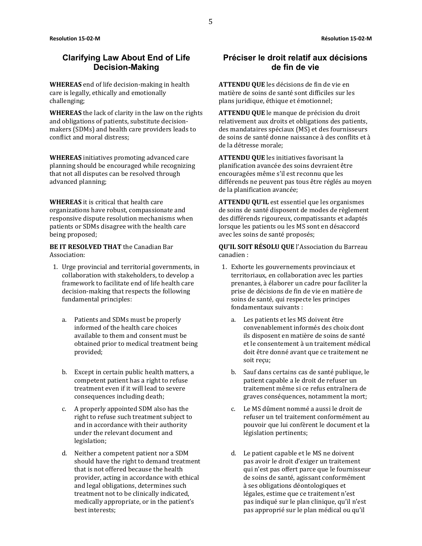### **Clarifying Law About End of Life Decision-Making**

**WHEREAS** end of life decision-making in health care is legally, ethically and emotionally challenging;

**WHEREAS** the lack of clarity in the law on the rights and obligations of patients, substitute decisionmakers (SDMs) and health care providers leads to conflict and moral distress;

**WHEREAS** initiatives promoting advanced care planning should be encouraged while recognizing that not all disputes can be resolved through advanced planning;

**WHEREAS** it is critical that health care organizations have robust, compassionate and responsive dispute resolution mechanisms when patients or SDMs disagree with the health care being proposed;

**BE IT RESOLVED THAT** the Canadian Bar Association:

- 1. Urge provincial and territorial governments, in collaboration with stakeholders, to develop a framework to facilitate end of life health care decision-making that respects the following fundamental principles:
	- a. Patients and SDMs must be properly informed of the health care choices available to them and consent must be obtained prior to medical treatment being provided;
	- b. Except in certain public health matters, a competent patient has a right to refuse treatment even if it will lead to severe consequences including death;
	- c. A properly appointed SDM also has the right to refuse such treatment subject to and in accordance with their authority under the relevant document and legislation;
	- d. Neither a competent patient nor a SDM should have the right to demand treatment that is not offered because the health provider, acting in accordance with ethical and legal obligations, determines such treatment not to be clinically indicated, medically appropriate, or in the patient's best interests;

## **Préciser le droit relatif aux décisions de fin de vie**

**ATTENDU QUE** les décisions de fin de vie en matière de soins de santé sont difficiles sur les plans juridique, éthique et émotionnel;

**ATTENDU QUE** le manque de précision du droit relativement aux droits et obligations des patients, des mandataires spéciaux (MS) et des fournisseurs de soins de santé donne naissance à des conflits et à de la détresse morale;

**ATTENDU QUE** les initiatives favorisant la planification avancée des soins devraient être encouragées même s'il est reconnu que les différends ne peuvent pas tous être réglés au moyen de la planification avancée;

**ATTENDU QU'IL** est essentiel que les organismes de soins de santé disposent de modes de règlement des différends rigoureux, compatissants et adaptés lorsque les patients ou les MS sont en désaccord avec les soins de santé proposés;

- 1. Exhorte les gouvernements provinciaux et territoriaux, en collaboration avec les parties prenantes, à élaborer un cadre pour faciliter la prise de décisions de fin de vie en matière de soins de santé, qui respecte les principes fondamentaux suivants :
	- a. Les patients et les MS doivent être convenablement informés des choix dont ils disposent en matière de soins de santé et le consentement à un traitement médical doit être donné avant que ce traitement ne soit reçu;
	- b. Sauf dans certains cas de santé publique, le patient capable a le droit de refuser un traitement même si ce refus entraînera de graves conséquences, notamment la mort;
	- c. Le MS dûment nommé a aussi le droit de refuser un tel traitement conformément au pouvoir que lui confèrent le document et la législation pertinents;
	- d. Le patient capable et le MS ne doivent pas avoir le droit d'exiger un traitement qui n'est pas offert parce que le fournisseur de soins de santé, agissant conformément à ses obligations déontologiques et légales, estime que ce traitement n'est pas indiqué sur le plan clinique, qu'il n'est pas approprié sur le plan médical ou qu'il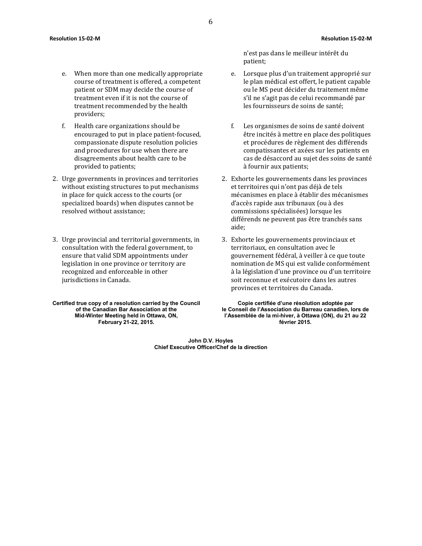- e. When more than one medically appropriate course of treatment is offered, a competent patient or SDM may decide the course of treatment even if it is not the course of treatment recommended by the health providers;
- f. Health care organizations should be encouraged to put in place patient-focused, compassionate dispute resolution policies and procedures for use when there are disagreements about health care to be provided to patients;
- 2. Urge governments in provinces and territories without existing structures to put mechanisms in place for quick access to the courts (or specialized boards) when disputes cannot be resolved without assistance;
- 3. Urge provincial and territorial governments, in consultation with the federal government, to ensure that valid SDM appointments under legislation in one province or territory are recognized and enforceable in other jurisdictions in Canada.

**Certified true copy of a resolution carried by the Council of the Canadian Bar Association at the Mid-Winter Meeting held in Ottawa, ON, February 21-22, 2015.**

n'est pas dans le meilleur intérêt du patient;

- e. Lorsque plus d'un traitement approprié sur le plan médical est offert, le patient capable ou le MS peut décider du traitement même s'il ne s'agit pas de celui recommandé par les fournisseurs de soins de santé;
- f. Les organismes de soins de santé doivent être incités à mettre en place des politiques et procédures de règlement des différends compatissantes et axées sur les patients en cas de désaccord au sujet des soins de santé à fournir aux patients;
- 2. Exhorte les gouvernements dans les provinces et territoires qui n'ont pas déjà de tels mécanismes en place à établir des mécanismes d'accès rapide aux tribunaux (ou à des commissions spécialisées) lorsque les différends ne peuvent pas être tranchés sans aide;
- 3. Exhorte les gouvernements provinciaux et territoriaux, en consultation avec le gouvernement fédéral, à veiller à ce que toute nomination de MS qui est valide conformément à la législation d'une province ou d'un territoire soit reconnue et exécutoire dans les autres provinces et territoires du Canada.

**Copie certifiée d'une résolution adoptée par le Conseil de l'Association du Barreau canadien, lors de l'Assemblée de la mi-hiver, à Ottawa (ON), du 21 au 22 février 2015.**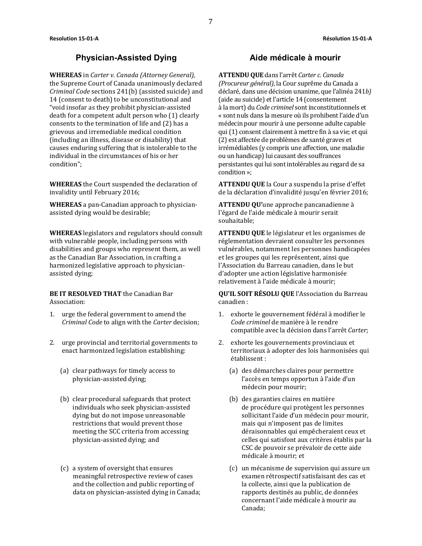#### **Physician-Assisted Dying Aide médicale à mourir**

**WHEREAS** in *Carter v. Canada (Attorney General),* the Supreme Court of Canada unanimously declared *Criminal Code* sections 241(b) (assisted suicide) and 14 (consent to death) to be unconstitutional and "void insofar as they prohibit physician-assisted death for a competent adult person who (1) clearly consents to the termination of life and (2) has a grievous and irremediable medical condition (including an illness, disease or disability) that causes enduring suffering that is intolerable to the individual in the circumstances of his or her condition";

**WHEREAS** the Court suspended the declaration of invalidity until February 2016;

**WHEREAS** a pan-Canadian approach to physicianassisted dying would be desirable;

**WHEREAS** legislators and regulators should consult with vulnerable people, including persons with disabilities and groups who represent them, as well as the Canadian Bar Association, in crafting a harmonized legislative approach to physicianassisted dying;

**BE IT RESOLVED THAT** the Canadian Bar Association:

- 1. urge the federal government to amend the *Criminal Code* to align with the *Carter* decision;
- 2. urge provincial and territorial governments to enact harmonized legislation establishing:
	- (a) clear pathways for timely access to physician-assisted dying;
	- (b) clear procedural safeguards that protect individuals who seek physician-assisted dying but do not impose unreasonable restrictions that would prevent those meeting the SCC criteria from accessing physician-assisted dying; and
	- (c) a system of oversight that ensures meaningful retrospective review of cases and the collection and public reporting of data on physician-assisted dying in Canada;

**ATTENDU QUE** dans l'arrêt *Carter c. Canada (Procureur général)*, la Cour suprême du Canada a déclaré, dans une décision unanime, que l'alinéa 241*b)* (aide au suicide) et l'article 14 (consentement à la mort) du *Code criminel* sont inconstitutionnels et « sont nuls dans la mesure où ils prohibent l'aide d'un médecin pour mourir à une personne adulte capable qui (1) consent clairement à mettre fin à sa vie; et qui (2) est affectée de problèmes de santé graves et irrémédiables (y compris une affection, une maladie ou un handicap) lui causant des souffrances persistantes qui lui sont intolérables au regard de sa condition »;

**ATTENDU QUE** la Cour a suspendu la prise d'effet de la déclaration d'invalidité jusqu'en février 2016;

**ATTENDU QU'**une approche pancanadienne à l'égard de l'aide médicale à mourir serait souhaitable;

**ATTENDU QUE** le législateur et les organismes de réglementation devraient consulter les personnes vulnérables, notamment les personnes handicapées et les groupes qui les représentent, ainsi que l'Association du Barreau canadien, dans le but d'adopter une action législative harmonisée relativement à l'aide médicale à mourir;

- 1. exhorte le gouvernement fédéral à modifier le *Code criminel* de manière à le rendre compatible avec la décision dans l'arrêt *Carter*;
- 2. exhorte les gouvernements provinciaux et territoriaux à adopter des lois harmonisées qui établissent :
	- (a) des démarches claires pour permettre l'accès en temps opportun à l'aide d'un médecin pour mourir;
	- (b) des garanties claires en matière de procédure qui protègent les personnes sollicitant l'aide d'un médecin pour mourir, mais qui n'imposent pas de limites déraisonnables qui empêcheraient ceux et celles qui satisfont aux critères établis par la CSC de pouvoir se prévaloir de cette aide médicale à mourir; et
	- (c) un mécanisme de supervision qui assure un examen rétrospectif satisfaisant des cas et la collecte, ainsi que la publication de rapports destinés au public, de données concernant l'aide médicale à mourir au Canada;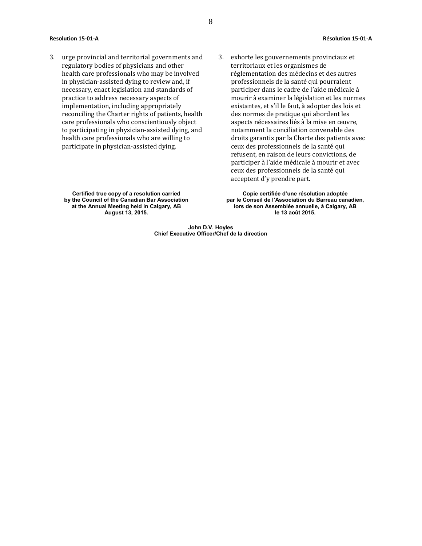- 3. urge provincial and territorial governments and regulatory bodies of physicians and other health care professionals who may be involved in physician-assisted dying to review and, if necessary, enact legislation and standards of practice to address necessary aspects of implementation, including appropriately reconciling the Charter rights of patients, health care professionals who conscientiously object to participating in physician-assisted dying, and health care professionals who are willing to participate in physician-assisted dying.
- 3. exhorte les gouvernements provinciaux et territoriaux et les organismes de réglementation des médecins et des autres professionnels de la santé qui pourraient participer dans le cadre de l'aide médicale à mourir à examiner la législation et les normes existantes, et s'il le faut, à adopter des lois et des normes de pratique qui abordent les aspects nécessaires liés à la mise en œuvre, notamment la conciliation convenable des droits garantis par la Charte des patients avec ceux des professionnels de la santé qui refusent, en raison de leurs convictions, de participer à l'aide médicale à mourir et avec ceux des professionnels de la santé qui acceptent d'y prendre part.

**Certified true copy of a resolution carried by the Council of the Canadian Bar Association at the Annual Meeting held in Calgary, AB August 13, 2015.**

**Copie certifiée d'une résolution adoptée par le Conseil de l'Association du Barreau canadien, lors de son Assemblée annuelle, à Calgary, AB le 13 août 2015.**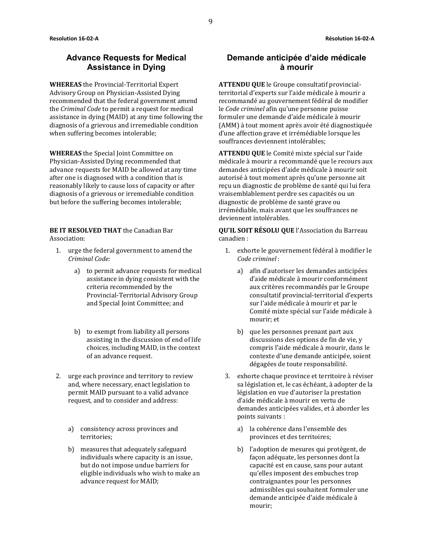### **Advance Requests for Medical Assistance in Dying**

**WHEREAS** the Provincial-Territorial Expert Advisory Group on Physician-Assisted Dying recommended that the federal government amend the *Criminal Code* to permit a request for medical assistance in dying (MAID) at any time following the diagnosis of a grievous and irremediable condition when suffering becomes intolerable;

**WHEREAS** the Special Joint Committee on Physician-Assisted Dying recommended that advance requests for MAID be allowed at any time after one is diagnosed with a condition that is reasonably likely to cause loss of capacity or after diagnosis of a grievous or irremediable condition but before the suffering becomes intolerable;

**BE IT RESOLVED THAT** the Canadian Bar Association:

- 1. urge the federal government to amend the *Criminal Code:*
	- a) to permit advance requests for medical assistance in dying consistent with the criteria recommended by the Provincial-Territorial Advisory Group and Special Joint Committee; and
	- b) to exempt from liability all persons assisting in the discussion of end of life choices, including MAID, in the context of an advance request.
- 2. urge each province and territory to review and, where necessary, enact legislation to permit MAID pursuant to a valid advance request, and to consider and address:
	- a) consistency across provinces and territories;
	- b) measures that adequately safeguard individuals where capacity is an issue, but do not impose undue barriers for eligible individuals who wish to make an advance request for MAID;

## **Demande anticipée d'aide médicale à mourir**

**ATTENDU QUE** le Groupe consultatif provincialterritorial d'experts sur l'aide médicale à mourir a recommandé au gouvernement fédéral de modifier le *Code criminel* afin qu'une personne puisse formuler une demande d'aide médicale à mourir (AMM) à tout moment après avoir été diagnostiquée d'une affection grave et irrémédiable lorsque les souffrances deviennent intolérables;

**ATTENDU QUE** le Comité mixte spécial sur l'aide médicale à mourir a recommandé que le recours aux demandes anticipées d'aide médicale à mourir soit autorisé à tout moment après qu'une personne ait reçu un diagnostic de problème de santé qui lui fera vraisemblablement perdre ses capacités ou un diagnostic de problème de santé grave ou irrémédiable, mais avant que les souffrances ne deviennent intolérables.

- 1. exhorte le gouvernement fédéral à modifier le *Code criminel* :
	- a) afin d'autoriser les demandes anticipées d'aide médicale à mourir conformément aux critères recommandés par le Groupe consultatif provincial-territorial d'experts sur l'aide médicale à mourir et par le Comité mixte spécial sur l'aide médicale à mourir; et
	- b) que les personnes prenant part aux discussions des options de fin de vie, y compris l'aide médicale à mourir, dans le contexte d'une demande anticipée, soient dégagées de toute responsabilité.
- 3. exhorte chaque province et territoire à réviser sa législation et, le cas échéant, à adopter de la législation en vue d'autoriser la prestation d'aide médicale à mourir en vertu de demandes anticipées valides, et à aborder les points suivants :
	- a) la cohérence dans l'ensemble des provinces et des territoires;
	- b) l'adoption de mesures qui protègent, de façon adéquate, les personnes dont la capacité est en cause, sans pour autant qu'elles imposent des embuches trop contraignantes pour les personnes admissibles qui souhaitent formuler une demande anticipée d'aide médicale à mourir;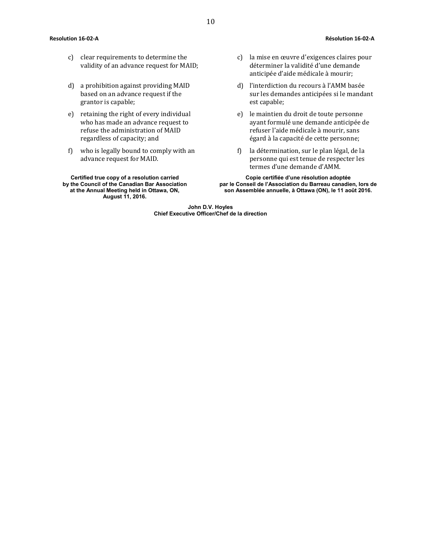#### **Resolution 16-02-A Résolution 16-02-A**

- c) clear requirements to determine the validity of an advance request for MAID;
- d) a prohibition against providing MAID based on an advance request if the grantor is capable;
- e) retaining the right of every individual who has made an advance request to refuse the administration of MAID regardless of capacity; and
- f) who is legally bound to comply with an advance request for MAID.

**Certified true copy of a resolution carried by the Council of the Canadian Bar Association at the Annual Meeting held in Ottawa, ON, August 11, 2016.**

- c) la mise en œuvre d'exigences claires pour déterminer la validité d'une demande anticipée d'aide médicale à mourir;
- d) l'interdiction du recours à l'AMM basée sur les demandes anticipées si le mandant est capable;
- e) le maintien du droit de toute personne ayant formulé une demande anticipée de refuser l'aide médicale à mourir, sans égard à la capacité de cette personne;
- f) la détermination, sur le plan légal, de la personne qui est tenue de respecter les termes d'une demande d'AMM.

**Copie certifiée d'une résolution adoptée par le Conseil de l'Association du Barreau canadien, lors de son Assemblée annuelle, à Ottawa (ON), le 11 août 2016.**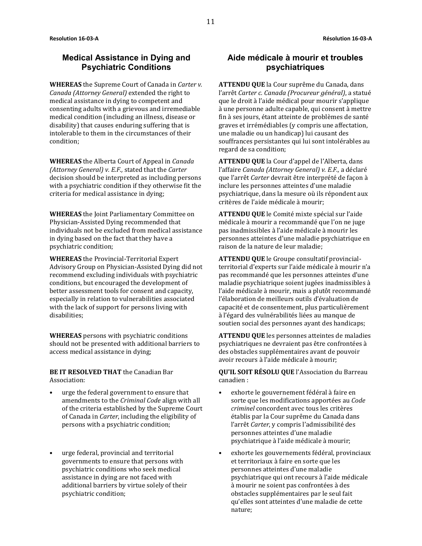#### **Medical Assistance in Dying and Psychiatric Conditions**

**WHEREAS** the Supreme Court of Canada in *Carter v. Canada (Attorney General)* extended the right to medical assistance in dying to competent and consenting adults with a grievous and irremediable medical condition (including an illness, disease or disability) that causes enduring suffering that is intolerable to them in the circumstances of their condition;

**WHEREAS** the Alberta Court of Appeal in *Canada (Attorney General) v. E.F.,* stated that the *Carter* decision should be interpreted as including persons with a psychiatric condition if they otherwise fit the criteria for medical assistance in dying;

**WHEREAS** the Joint Parliamentary Committee on Physician-Assisted Dying recommended that individuals not be excluded from medical assistance in dying based on the fact that they have a psychiatric condition;

**WHEREAS** the Provincial-Territorial Expert Advisory Group on Physician-Assisted Dying did not recommend excluding individuals with psychiatric conditions, but encouraged the development of better assessment tools for consent and capacity, especially in relation to vulnerabilities associated with the lack of support for persons living with disabilities;

**WHEREAS** persons with psychiatric conditions should not be presented with additional barriers to access medical assistance in dying;

**BE IT RESOLVED THAT** the Canadian Bar Association:

- urge the federal government to ensure that amendments to the *Criminal Code* align with all of the criteria established by the Supreme Court of Canada in *Carter*, including the eligibility of persons with a psychiatric condition;
- urge federal, provincial and territorial governments to ensure that persons with psychiatric conditions who seek medical assistance in dying are not faced with additional barriers by virtue solely of their psychiatric condition;

## **Aide médicale à mourir et troubles psychiatriques**

**ATTENDU QUE** la Cour suprême du Canada, dans l'arrêt *Carter c. Canada (Procureur général)*, a statué que le droit à l'aide médical pour mourir s'applique à une personne adulte capable, qui consent à mettre fin à ses jours, étant atteinte de problèmes de santé graves et irrémédiables (y compris une affectation, une maladie ou un handicap) lui causant des souffrances persistantes qui lui sont intolérables au regard de sa condition;

**ATTENDU QUE** la Cour d'appel de l'Alberta, dans l'affaire *Canada (Attorney General) v. E.F.,* a déclaré que l'arrêt *Carter* devrait être interprété de façon à inclure les personnes atteintes d'une maladie psychiatrique, dans la mesure où ils répondent aux critères de l'aide médicale à mourir;

**ATTENDU QUE** le Comité mixte spécial sur l'aide médicale à mourir a recommandé que l'on ne juge pas inadmissibles à l'aide médicale à mourir les personnes atteintes d'une maladie psychiatrique en raison de la nature de leur maladie;

**ATTENDU QUE** le Groupe consultatif provincialterritorial d'experts sur l'aide médicale à mourir n'a pas recommandé que les personnes atteintes d'une maladie psychiatrique soient jugées inadmissibles à l'aide médicale à mourir, mais a plutôt recommandé l'élaboration de meilleurs outils d'évaluation de capacité et de consentement, plus particulièrement à l'égard des vulnérabilités liées au manque de soutien social des personnes ayant des handicaps;

**ATTENDU QUE** les personnes atteintes de maladies psychiatriques ne devraient pas être confrontées à des obstacles supplémentaires avant de pouvoir avoir recours à l'aide médicale à mourir;

- exhorte le gouvernement fédéral à faire en sorte que les modifications apportées au *Code criminel* concordent avec tous les critères établis par la Cour suprême du Canada dans l'arrêt *Carter*, y compris l'admissibilité des personnes atteintes d'une maladie psychiatrique à l'aide médicale à mourir;
- exhorte les gouvernements fédéral, provinciaux et territoriaux à faire en sorte que les personnes atteintes d'une maladie psychiatrique qui ont recours à l'aide médicale à mourir ne soient pas confrontées à des obstacles supplémentaires par le seul fait qu'elles sont atteintes d'une maladie de cette nature;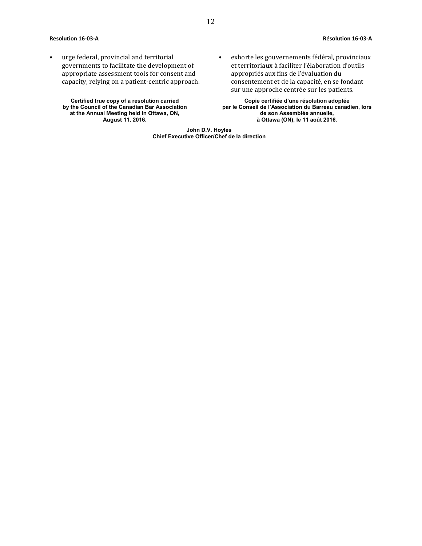#### **Resolution 16-03-A Résolution 16-03-A**

• urge federal, provincial and territorial governments to facilitate the development of appropriate assessment tools for consent and capacity, relying on a patient-centric approach.

**Certified true copy of a resolution carried by the Council of the Canadian Bar Association at the Annual Meeting held in Ottawa, ON, August 11, 2016.**

• exhorte les gouvernements fédéral, provinciaux et territoriaux à faciliter l'élaboration d'outils appropriés aux fins de l'évaluation du consentement et de la capacité, en se fondant sur une approche centrée sur les patients.

**Copie certifiée d'une résolution adoptée par le Conseil de l'Association du Barreau canadien, lors de son Assemblée annuelle, à Ottawa (ON), le 11 août 2016.**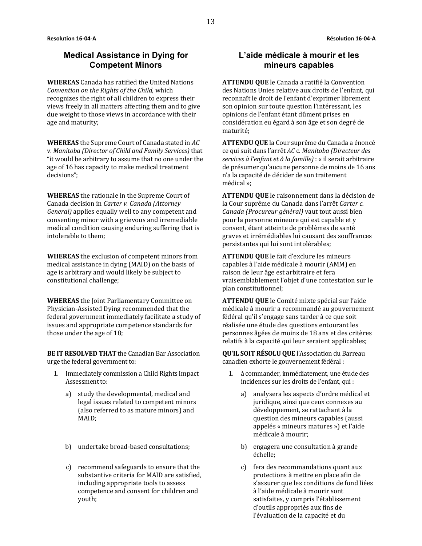#### **Medical Assistance in Dying for Competent Minors**

**WHEREAS** Canada has ratified the United Nations *Convention on the Rights of the Child*, which recognizes the right of all children to express their views freely in all matters affecting them and to give due weight to those views in accordance with their age and maturity;

**WHEREAS** the Supreme Court of Canada stated in *AC*  v. *Manitoba (Director of Child and Family Services)* that "it would be arbitrary to assume that no one under the age of 16 has capacity to make medical treatment decisions";

**WHEREAS** the rationale in the Supreme Court of Canada decision in *Carter v. Canada (Attorney General)* applies equally well to any competent and consenting minor with a grievous and irremediable medical condition causing enduring suffering that is intolerable to them;

**WHEREAS** the exclusion of competent minors from medical assistance in dying (MAID) on the basis of age is arbitrary and would likely be subject to constitutional challenge;

**WHEREAS** the Joint Parliamentary Committee on Physician-Assisted Dying recommended that the federal government immediately facilitate a study of issues and appropriate competence standards for those under the age of 18;

**BE IT RESOLVED THAT** the Canadian Bar Association urge the federal government to:

- 1. Immediately commission a Child Rights Impact Assessment to:
	- a) study the developmental, medical and legal issues related to competent minors (also referred to as mature minors) and MAID;
	- b) undertake broad-based consultations;
	- c) recommend safeguards to ensure that the substantive criteria for MAID are satisfied, including appropriate tools to assess competence and consent for children and youth;

#### **L'aide médicale à mourir et les mineurs capables**

**ATTENDU QUE** le Canada a ratifié la Convention des Nations Unies relative aux droits de l'enfant, qui reconnaît le droit de l'enfant d'exprimer librement son opinion sur toute question l'intéressant, les opinions de l'enfant étant dûment prises en considération eu égard à son âge et son degré de maturité;

**ATTENDU QUE** la Cour suprême du Canada a énoncé ce qui suit dans l'arrêt *AC* c. *Manitoba (Directeur des services à l'enfant et à la famille)* : « il serait arbitraire de présumer qu'aucune personne de moins de 16 ans n'a la capacité de décider de son traitement médical »;

**ATTENDU QUE** le raisonnement dans la décision de la Cour suprême du Canada dans l'arrêt *Carter c. Canada (Procureur général)* vaut tout aussi bien pour la personne mineure qui est capable et y consent, étant atteinte de problèmes de santé graves et irrémédiables lui causant des souffrances persistantes qui lui sont intolérables;

**ATTENDU QUE** le fait d'exclure les mineurs capables à l'aide médicale à mourir (AMM) en raison de leur âge est arbitraire et fera vraisemblablement l'objet d'une contestation sur le plan constitutionnel;

**ATTENDU QUE** le Comité mixte spécial sur l'aide médicale à mourir a recommandé au gouvernement fédéral qu'il s'engage sans tarder à ce que soit réalisée une étude des questions entourant les personnes âgées de moins de 18 ans et des critères relatifs à la capacité qui leur seraient applicables;

**QU'IL SOIT RÉSOLU QUE** l'Association du Barreau canadien exhorte le gouvernement fédéral :

- 1. à commander, immédiatement, une étude des incidences sur les droits de l'enfant, qui :
	- a) analysera les aspects d'ordre médical et juridique, ainsi que ceux connexes au développement, se rattachant à la question des mineurs capables (aussi appelés « mineurs matures ») et l'aide médicale à mourir;
	- b) engagera une consultation à grande échelle;
	- c) fera des recommandations quant aux protections à mettre en place afin de s'assurer que les conditions de fond liées à l'aide médicale à mourir sont satisfaites, y compris l'établissement d'outils appropriés aux fins de l'évaluation de la capacité et du